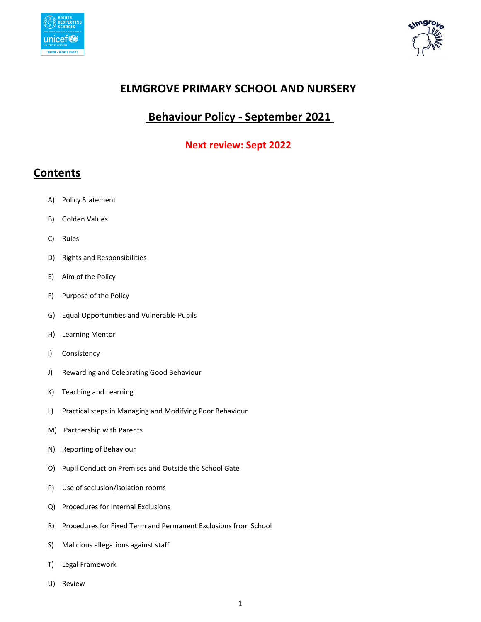



# **ELMGROVE PRIMARY SCHOOL AND NURSERY**

# **Behaviour Policy - September 2021**

#### **Next review: Sept 2022**

## **Contents**

- A) Policy Statement
- B) Golden Values
- C) Rules
- D) Rights and Responsibilities
- E) Aim of the Policy
- F) Purpose of the Policy
- G) Equal Opportunities and Vulnerable Pupils
- H) Learning Mentor
- I) Consistency
- J) Rewarding and Celebrating Good Behaviour
- K) Teaching and Learning
- L) Practical steps in Managing and Modifying Poor Behaviour
- M) Partnership with Parents
- N) Reporting of Behaviour
- O) Pupil Conduct on Premises and Outside the School Gate
- P) Use of seclusion/isolation rooms
- Q) Procedures for Internal Exclusions
- R) Procedures for Fixed Term and Permanent Exclusions from School
- S) Malicious allegations against staff
- T) Legal Framework
- U) Review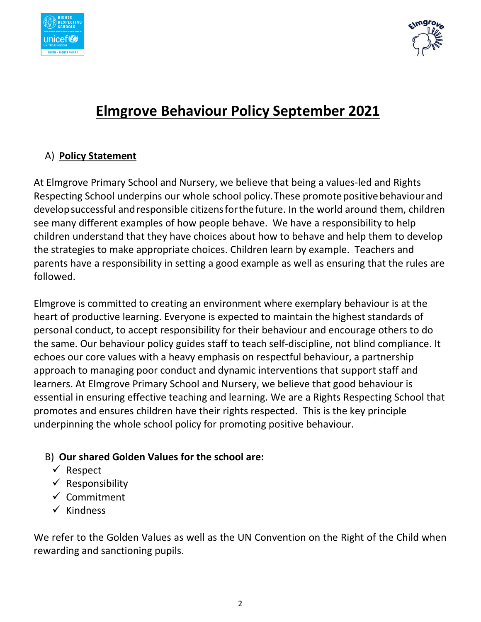



# **Elmgrove Behaviour Policy September 2021**

# A) **Policy Statement**

At Elmgrove Primary School and Nursery, we believe that being a values-led and Rights Respecting School underpins our whole school policy.These promotepositivebehaviourand developsuccessful andresponsible citizensforthefuture. In the world around them, children see many different examples of how people behave. We have a responsibility to help children understand that they have choices about how to behave and help them to develop the strategies to make appropriate choices. Children learn by example. Teachers and parents have a responsibility in setting a good example as well as ensuring that the rules are followed.

Elmgrove is committed to creating an environment where exemplary behaviour is at the heart of productive learning. Everyone is expected to maintain the highest standards of personal conduct, to accept responsibility for their behaviour and encourage others to do the same. Our behaviour policy guides staff to teach self-discipline, not blind compliance. It echoes our core values with a heavy emphasis on respectful behaviour, a partnership approach to managing poor conduct and dynamic interventions that support staff and learners. At Elmgrove Primary School and Nursery, we believe that good behaviour is essential in ensuring effective teaching and learning. We are a Rights Respecting School that promotes and ensures children have their rights respected. This is the key principle underpinning the whole school policy for promoting positive behaviour.

## B) **Our shared Golden Values for the school are:**

- $\checkmark$  Respect
- $\checkmark$  Responsibility
- $\checkmark$  Commitment
- $\checkmark$  Kindness

We refer to the Golden Values as well as the UN Convention on the Right of the Child when rewarding and sanctioning pupils.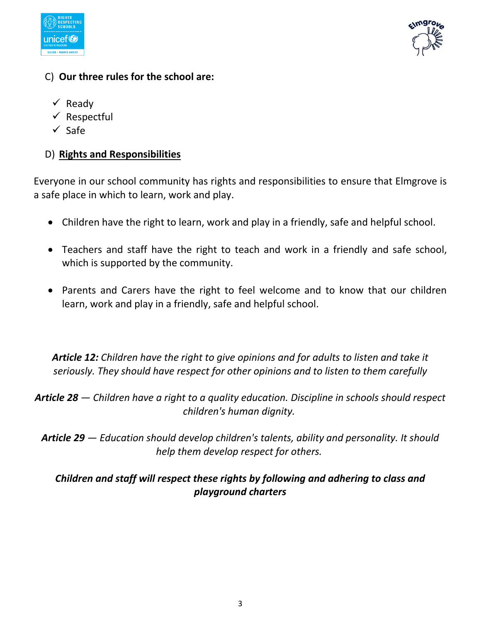



## C) **Our three rules for the school are:**

- $\checkmark$  Ready
- $\checkmark$  Respectful
- $\checkmark$  Safe

# D) **Rights and Responsibilities**

Everyone in our school community has rights and responsibilities to ensure that Elmgrove is a safe place in which to learn, work and play.

- Children have the right to learn, work and play in a friendly, safe and helpful school.
- Teachers and staff have the right to teach and work in a friendly and safe school, which is supported by the community.
- Parents and Carers have the right to feel welcome and to know that our children learn, work and play in a friendly, safe and helpful school.

*Article 12: Children have the right to give opinions and for adults to listen and take it seriously. They should have respect for other opinions and to listen to them carefully* 

*Article 28 — Children have a right to a quality education. Discipline in schools should respect children's human dignity.*

*Article 29 — Education should develop children's talents, ability and personality. It should help them develop respect for others.*

# *Children and staff will respect these rights by following and adhering to class and playground charters*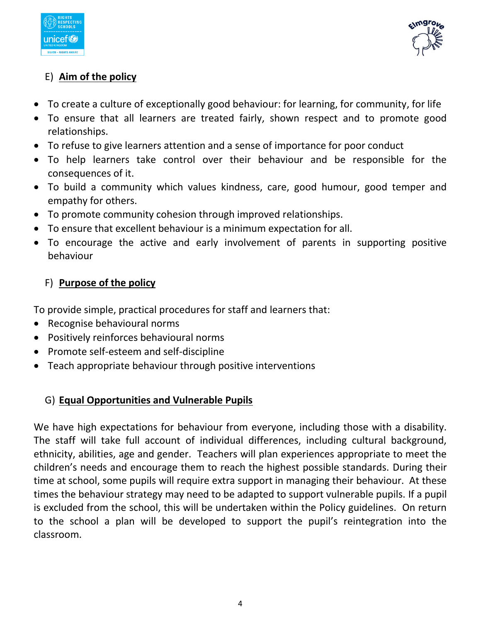



# E) **Aim of the policy**

- To create a culture of exceptionally good behaviour: for learning, for community, for life
- To ensure that all learners are treated fairly, shown respect and to promote good relationships.
- To refuse to give learners attention and a sense of importance for poor conduct
- To help learners take control over their behaviour and be responsible for the consequences of it.
- To build a community which values kindness, care, good humour, good temper and empathy for others.
- To promote community cohesion through improved relationships.
- To ensure that excellent behaviour is a minimum expectation for all.
- To encourage the active and early involvement of parents in supporting positive behaviour

# F) **Purpose of the policy**

To provide simple, practical procedures for staff and learners that:

- Recognise behavioural norms
- Positively reinforces behavioural norms
- Promote self-esteem and self-discipline
- Teach appropriate behaviour through positive interventions

# G) **Equal Opportunities and Vulnerable Pupils**

We have high expectations for behaviour from everyone, including those with a disability. The staff will take full account of individual differences, including cultural background, ethnicity, abilities, age and gender. Teachers will plan experiences appropriate to meet the children's needs and encourage them to reach the highest possible standards. During their time at school, some pupils will require extra support in managing their behaviour. At these times the behaviour strategy may need to be adapted to support vulnerable pupils. If a pupil is excluded from the school, this will be undertaken within the Policy guidelines. On return to the school a plan will be developed to support the pupil's reintegration into the classroom.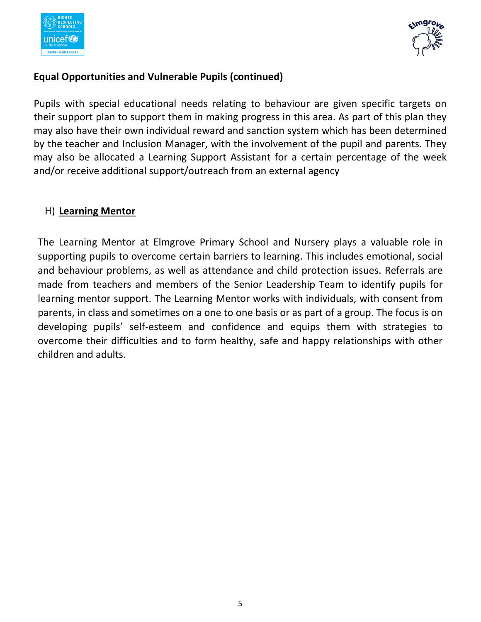



#### **Equal Opportunities and Vulnerable Pupils (continued)**

Pupils with special educational needs relating to behaviour are given specific targets on their support plan to support them in making progress in this area. As part of this plan they may also have their own individual reward and sanction system which has been determined by the teacher and Inclusion Manager, with the involvement of the pupil and parents. They may also be allocated a Learning Support Assistant for a certain percentage of the week and/or receive additional support/outreach from an external agency

## H) **Learning Mentor**

The Learning Mentor at Elmgrove Primary School and Nursery plays a valuable role in supporting pupils to overcome certain barriers to learning. This includes emotional, social and behaviour problems, as well as attendance and child protection issues. Referrals are made from teachers and members of the Senior Leadership Team to identify pupils for learning mentor support. The Learning Mentor works with individuals, with consent from parents, in class and sometimes on a one to one basis or as part of a group. The focus is on developing pupils' self-esteem and confidence and equips them with strategies to overcome their difficulties and to form healthy, safe and happy relationships with other children and adults.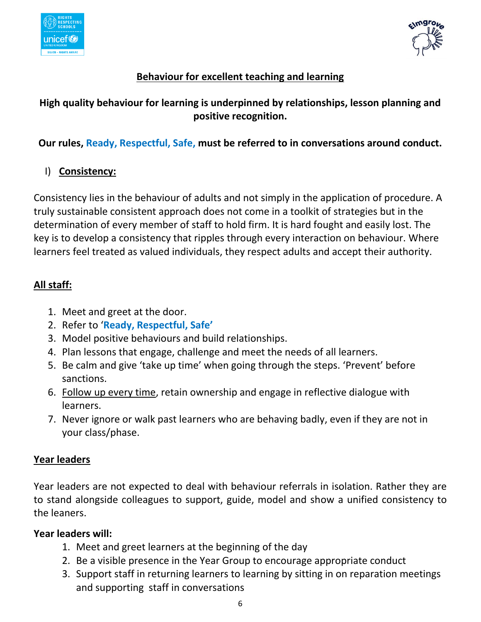



# **Behaviour for excellent teaching and learning**

# **High quality behaviour for learning is underpinned by relationships, lesson planning and positive recognition.**

# **Our rules, Ready, Respectful, Safe, must be referred to in conversations around conduct.**

# I) **Consistency:**

Consistency lies in the behaviour of adults and not simply in the application of procedure. A truly sustainable consistent approach does not come in a toolkit of strategies but in the determination of every member of staff to hold firm. It is hard fought and easily lost. The key is to develop a consistency that ripples through every interaction on behaviour. Where learners feel treated as valued individuals, they respect adults and accept their authority.

# **All staff:**

- 1. Meet and greet at the door.
- 2. Refer to '**Ready, Respectful, Safe'**
- 3. Model positive behaviours and build relationships.
- 4. Plan lessons that engage, challenge and meet the needs of all learners.
- 5. Be calm and give 'take up time' when going through the steps. 'Prevent' before sanctions.
- 6. Follow up every time, retain ownership and engage in reflective dialogue with learners.
- 7. Never ignore or walk past learners who are behaving badly, even if they are not in your class/phase.

## **Year leaders**

Year leaders are not expected to deal with behaviour referrals in isolation. Rather they are to stand alongside colleagues to support, guide, model and show a unified consistency to the leaners.

#### **Year leaders will:**

- 1. Meet and greet learners at the beginning of the day
- 2. Be a visible presence in the Year Group to encourage appropriate conduct
- 3. Support staff in returning learners to learning by sitting in on reparation meetings and supporting staff in conversations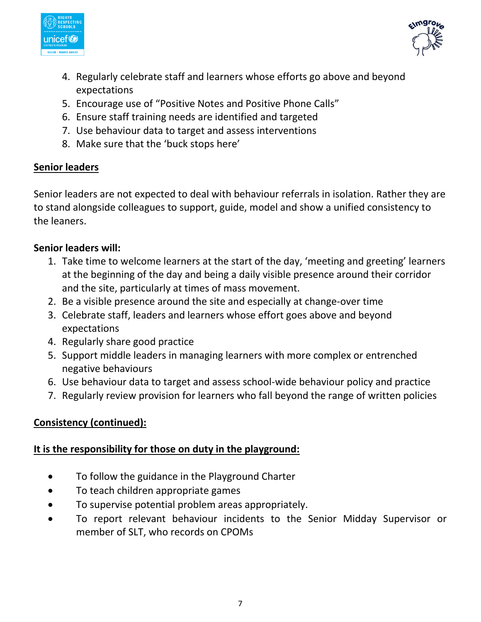



- 4. Regularly celebrate staff and learners whose efforts go above and beyond expectations
- 5. Encourage use of "Positive Notes and Positive Phone Calls"
- 6. Ensure staff training needs are identified and targeted
- 7. Use behaviour data to target and assess interventions
- 8. Make sure that the 'buck stops here'

# **Senior leaders**

Senior leaders are not expected to deal with behaviour referrals in isolation. Rather they are to stand alongside colleagues to support, guide, model and show a unified consistency to the leaners.

# **Senior leaders will:**

- 1. Take time to welcome learners at the start of the day, 'meeting and greeting' learners at the beginning of the day and being a daily visible presence around their corridor and the site, particularly at times of mass movement.
- 2. Be a visible presence around the site and especially at change-over time
- 3. Celebrate staff, leaders and learners whose effort goes above and beyond expectations
- 4. Regularly share good practice
- 5. Support middle leaders in managing learners with more complex or entrenched negative behaviours
- 6. Use behaviour data to target and assess school-wide behaviour policy and practice
- 7. Regularly review provision for learners who fall beyond the range of written policies

# **Consistency (continued):**

## **It is the responsibility for those on duty in the playground:**

- To follow the guidance in the Playground Charter
- To teach children appropriate games
- To supervise potential problem areas appropriately.
- To report relevant behaviour incidents to the Senior Midday Supervisor or member of SLT, who records on CPOMs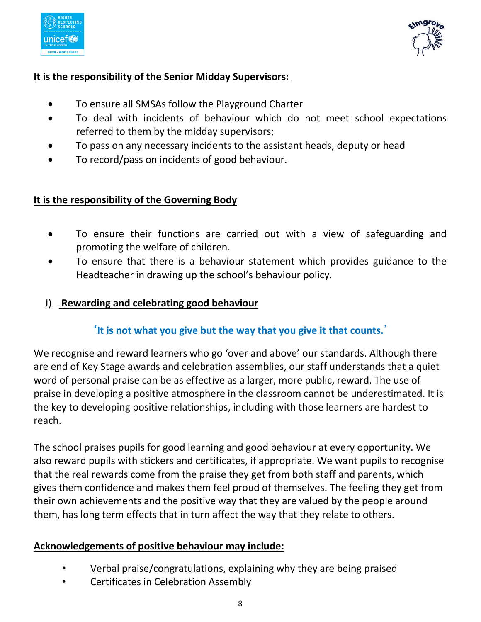

$$
\bigcap_{k=1}^{n \text{space}}
$$

#### **It is the responsibility of the Senior Midday Supervisors:**

- To ensure all SMSAs follow the Playground Charter
- To deal with incidents of behaviour which do not meet school expectations referred to them by the midday supervisors;
- To pass on any necessary incidents to the assistant heads, deputy or head
- To record/pass on incidents of good behaviour.

#### **It is the responsibility of the Governing Body**

- To ensure their functions are carried out with a view of safeguarding and promoting the welfare of children.
- To ensure that there is a behaviour statement which provides guidance to the Headteacher in drawing up the school's behaviour policy.

#### J) **Rewarding and celebrating good behaviour**

## '**It is not what you give but the way that you give it that counts.**'

We recognise and reward learners who go 'over and above' our standards. Although there are end of Key Stage awards and celebration assemblies, our staff understands that a quiet word of personal praise can be as effective as a larger, more public, reward. The use of praise in developing a positive atmosphere in the classroom cannot be underestimated. It is the key to developing positive relationships, including with those learners are hardest to reach.

The school praises pupils for good learning and good behaviour at every opportunity. We also reward pupils with stickers and certificates, if appropriate. We want pupils to recognise that the real rewards come from the praise they get from both staff and parents, which gives them confidence and makes them feel proud of themselves. The feeling they get from their own achievements and the positive way that they are valued by the people around them, has long term effects that in turn affect the way that they relate to others.

## **Acknowledgements of positive behaviour may include:**

- Verbal praise/congratulations, explaining why they are being praised
- Certificates in Celebration Assembly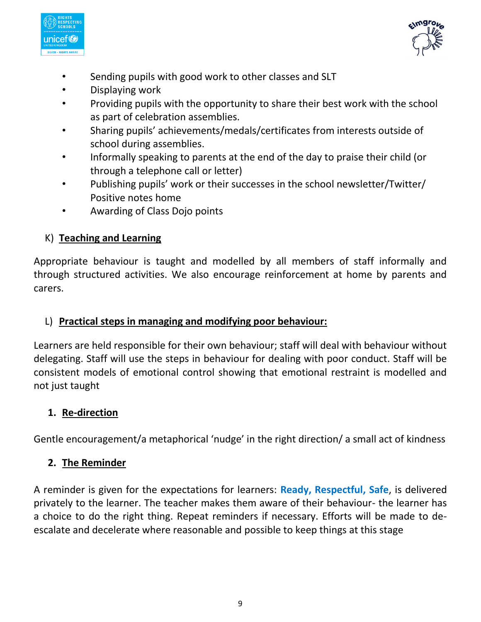



- Sending pupils with good work to other classes and SLT
- Displaying work
- Providing pupils with the opportunity to share their best work with the school as part of celebration assemblies.
- Sharing pupils' achievements/medals/certificates from interests outside of school during assemblies.
- Informally speaking to parents at the end of the day to praise their child (or through a telephone call or letter)
- Publishing pupils' work or their successes in the school newsletter/Twitter/ Positive notes home
- Awarding of Class Dojo points

# K) **Teaching and Learning**

Appropriate behaviour is taught and modelled by all members of staff informally and through structured activities. We also encourage reinforcement at home by parents and carers.

## L) **Practical steps in managing and modifying poor behaviour:**

Learners are held responsible for their own behaviour; staff will deal with behaviour without delegating. Staff will use the steps in behaviour for dealing with poor conduct. Staff will be consistent models of emotional control showing that emotional restraint is modelled and not just taught

## **1. Re-direction**

Gentle encouragement/a metaphorical 'nudge' in the right direction/ a small act of kindness

#### **2. The Reminder**

A reminder is given for the expectations for learners: **Ready, Respectful, Safe**, is delivered privately to the learner. The teacher makes them aware of their behaviour- the learner has a choice to do the right thing. Repeat reminders if necessary. Efforts will be made to deescalate and decelerate where reasonable and possible to keep things at this stage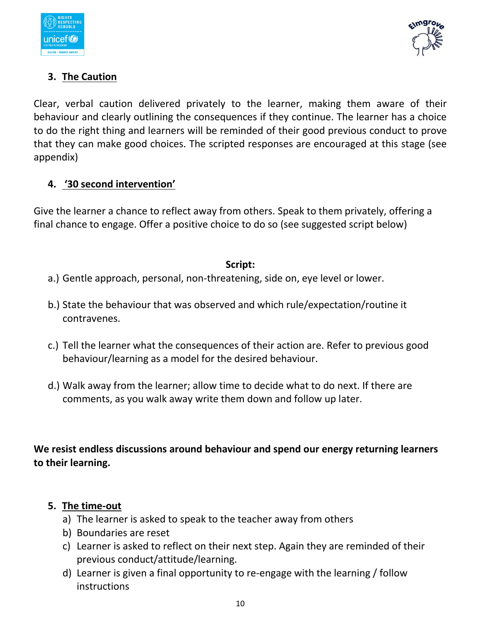



# **3. The Caution**

Clear, verbal caution delivered privately to the learner, making them aware of their behaviour and clearly outlining the consequences if they continue. The learner has a choice to do the right thing and learners will be reminded of their good previous conduct to prove that they can make good choices. The scripted responses are encouraged at this stage (see appendix)

#### **4. '30 second intervention'**

Give the learner a chance to reflect away from others. Speak to them privately, offering a final chance to engage. Offer a positive choice to do so (see suggested script below)

#### **Script:**

- a.) Gentle approach, personal, non-threatening, side on, eye level or lower.
- b.) State the behaviour that was observed and which rule/expectation/routine it contravenes.
- c.) Tell the learner what the consequences of their action are. Refer to previous good behaviour/learning as a model for the desired behaviour.
- d.) Walk away from the learner; allow time to decide what to do next. If there are comments, as you walk away write them down and follow up later.

**We resist endless discussions around behaviour and spend our energy returning learners to their learning.**

#### **5. The time-out**

- a) The learner is asked to speak to the teacher away from others
- b) Boundaries are reset
- c) Learner is asked to reflect on their next step. Again they are reminded of their previous conduct/attitude/learning.
- d) Learner is given a final opportunity to re-engage with the learning / follow **instructions**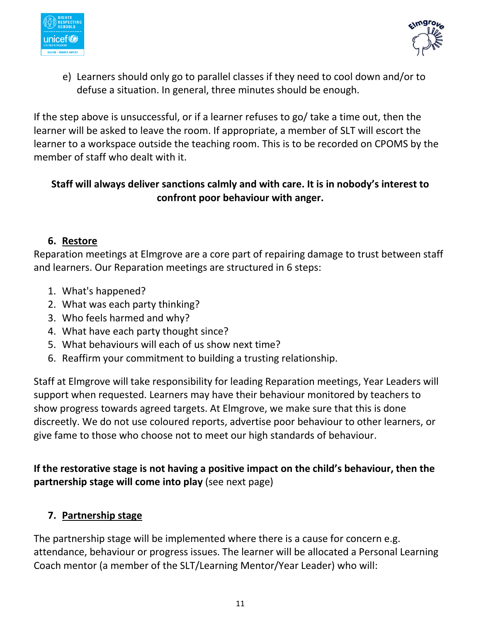



e) Learners should only go to parallel classes if they need to cool down and/or to defuse a situation. In general, three minutes should be enough.

If the step above is unsuccessful, or if a learner refuses to go/ take a time out, then the learner will be asked to leave the room. If appropriate, a member of SLT will escort the learner to a workspace outside the teaching room. This is to be recorded on CPOMS by the member of staff who dealt with it.

# **Staff will always deliver sanctions calmly and with care. It is in nobody's interest to confront poor behaviour with anger.**

## **6. Restore**

Reparation meetings at Elmgrove are a core part of repairing damage to trust between staff and learners. Our Reparation meetings are structured in 6 steps:

- 1. What's happened?
- 2. What was each party thinking?
- 3. Who feels harmed and why?
- 4. What have each party thought since?
- 5. What behaviours will each of us show next time?
- 6. Reaffirm your commitment to building a trusting relationship.

Staff at Elmgrove will take responsibility for leading Reparation meetings, Year Leaders will support when requested. Learners may have their behaviour monitored by teachers to show progress towards agreed targets. At Elmgrove, we make sure that this is done discreetly. We do not use coloured reports, advertise poor behaviour to other learners, or give fame to those who choose not to meet our high standards of behaviour.

**If the restorative stage is not having a positive impact on the child's behaviour, then the partnership stage will come into play** (see next page)

## **7. Partnership stage**

The partnership stage will be implemented where there is a cause for concern e.g. attendance, behaviour or progress issues. The learner will be allocated a Personal Learning Coach mentor (a member of the SLT/Learning Mentor/Year Leader) who will: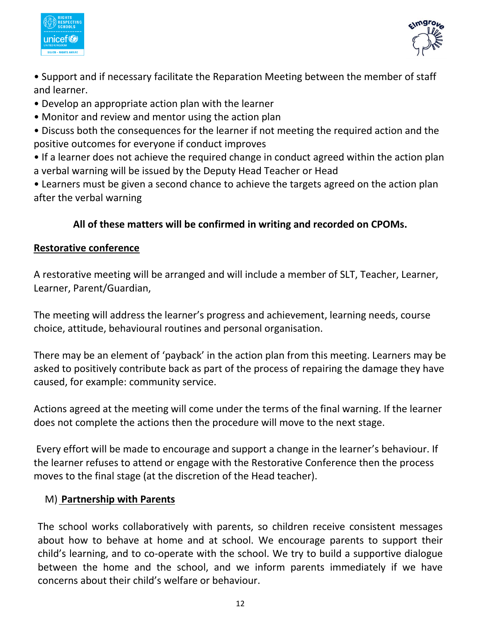



- Support and if necessary facilitate the Reparation Meeting between the member of staff and learner.
- Develop an appropriate action plan with the learner
- Monitor and review and mentor using the action plan
- Discuss both the consequences for the learner if not meeting the required action and the positive outcomes for everyone if conduct improves
- If a learner does not achieve the required change in conduct agreed within the action plan a verbal warning will be issued by the Deputy Head Teacher or Head
- Learners must be given a second chance to achieve the targets agreed on the action plan after the verbal warning

# **All of these matters will be confirmed in writing and recorded on CPOMs.**

## **Restorative conference**

A restorative meeting will be arranged and will include a member of SLT, Teacher, Learner, Learner, Parent/Guardian,

The meeting will address the learner's progress and achievement, learning needs, course choice, attitude, behavioural routines and personal organisation.

There may be an element of 'payback' in the action plan from this meeting. Learners may be asked to positively contribute back as part of the process of repairing the damage they have caused, for example: community service.

Actions agreed at the meeting will come under the terms of the final warning. If the learner does not complete the actions then the procedure will move to the next stage.

Every effort will be made to encourage and support a change in the learner's behaviour. If the learner refuses to attend or engage with the Restorative Conference then the process moves to the final stage (at the discretion of the Head teacher).

#### M) **Partnership with Parents**

The school works collaboratively with parents, so children receive consistent messages about how to behave at home and at school. We encourage parents to support their child's learning, and to co-operate with the school. We try to build a supportive dialogue between the home and the school, and we inform parents immediately if we have concerns about their child's welfare or behaviour.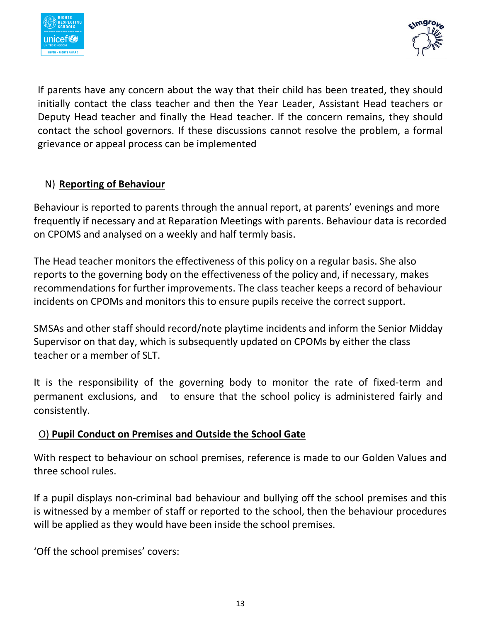



If parents have any concern about the way that their child has been treated, they should initially contact the class teacher and then the Year Leader, Assistant Head teachers or Deputy Head teacher and finally the Head teacher. If the concern remains, they should contact the school governors. If these discussions cannot resolve the problem, a formal grievance or appeal process can be implemented

#### N) **Reporting of Behaviour**

Behaviour is reported to parents through the annual report, at parents' evenings and more frequently if necessary and at Reparation Meetings with parents. Behaviour data is recorded on CPOMS and analysed on a weekly and half termly basis.

The Head teacher monitors the effectiveness of this policy on a regular basis. She also reports to the governing body on the effectiveness of the policy and, if necessary, makes recommendations for further improvements. The class teacher keeps a record of behaviour incidents on CPOMs and monitors this to ensure pupils receive the correct support.

SMSAs and other staff should record/note playtime incidents and inform the Senior Midday Supervisor on that day, which is subsequently updated on CPOMs by either the class teacher or a member of SLT.

It is the responsibility of the governing body to monitor the rate of fixed-term and permanent exclusions, and to ensure that the school policy is administered fairly and consistently.

## O) **Pupil Conduct on Premises and Outside the School Gate**

With respect to behaviour on school premises, reference is made to our Golden Values and three school rules.

If a pupil displays non-criminal bad behaviour and bullying off the school premises and this is witnessed by a member of staff or reported to the school, then the behaviour procedures will be applied as they would have been inside the school premises.

'Off the school premises' covers: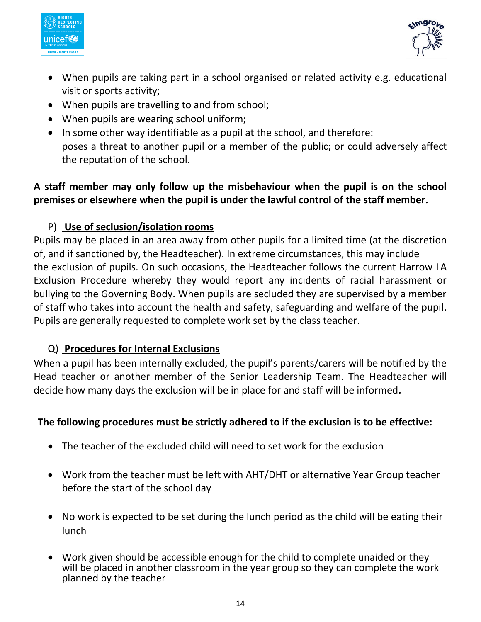



- When pupils are taking part in a school organised or related activity e.g. educational visit or sports activity;
- When pupils are travelling to and from school;
- When pupils are wearing school uniform;
- In some other way identifiable as a pupil at the school, and therefore: poses a threat to another pupil or a member of the public; or could adversely affect the reputation of the school.

## **A staff member may only follow up the misbehaviour when the pupil is on the school premises or elsewhere when the pupil is under the lawful control of the staff member.**

#### P) **Use of seclusion/isolation rooms**

Pupils may be placed in an area away from other pupils for a limited time (at the discretion of, and if sanctioned by, the Headteacher). In extreme circumstances, this may include the exclusion of pupils. On such occasions, the Headteacher follows the current Harrow LA Exclusion Procedure whereby they would report any incidents of racial harassment or bullying to the Governing Body. When pupils are secluded they are supervised by a member of staff who takes into account the health and safety, safeguarding and welfare of the pupil. Pupils are generally requested to complete work set by the class teacher.

#### Q) **Procedures for Internal Exclusions**

When a pupil has been internally excluded, the pupil's parents/carers will be notified by the Head teacher or another member of the Senior Leadership Team. The Headteacher will decide how many days the exclusion will be in place for and staff will be informed**.** 

#### **The following procedures must be strictly adhered to if the exclusion is to be effective:**

- The teacher of the excluded child will need to set work for the exclusion
- Work from the teacher must be left with AHT/DHT or alternative Year Group teacher before the start of the school day
- No work is expected to be set during the lunch period as the child will be eating their lunch
- Work given should be accessible enough for the child to complete unaided or they will be placed in another classroom in the year group so they can complete the work planned by the teacher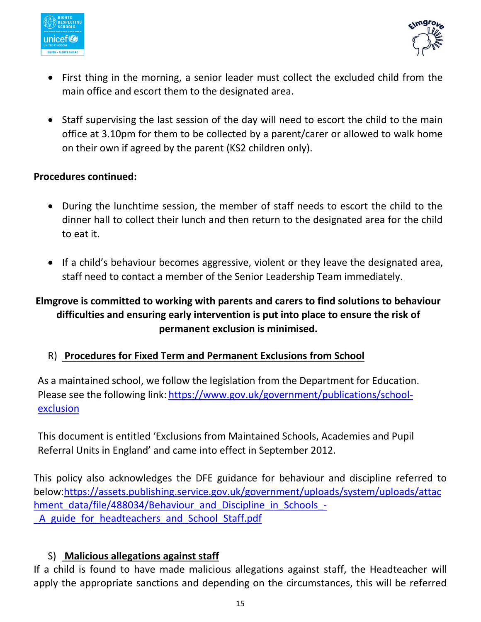



- First thing in the morning, a senior leader must collect the excluded child from the main office and escort them to the designated area.
- Staff supervising the last session of the day will need to escort the child to the main office at 3.10pm for them to be collected by a parent/carer or allowed to walk home on their own if agreed by the parent (KS2 children only).

#### **Procedures continued:**

- During the lunchtime session, the member of staff needs to escort the child to the dinner hall to collect their lunch and then return to the designated area for the child to eat it.
- If a child's behaviour becomes aggressive, violent or they leave the designated area, staff need to contact a member of the Senior Leadership Team immediately.

# **Elmgrove is committed to working with parents and carers to find solutions to behaviour difficulties and ensuring early intervention is put into place to ensure the risk of permanent exclusion is minimised.**

#### R) **Procedures for Fixed Term and Permanent Exclusions from School**

As a maintained school, we follow the legislation from the Department for Education. Please see the following link: [https://www.gov.uk/government/publications/school](https://www.gov.uk/government/publications/school-exclusion)[exclusion](https://www.gov.uk/government/publications/school-exclusion)

This document is entitled 'Exclusions from Maintained Schools, Academies and Pupil Referral Units in England' and came into effect in September 2012.

This policy also acknowledges the DFE guidance for behaviour and discipline referred to below:[https://assets.publishing.service.gov.uk/government/uploads/system/uploads/attac](https://assets.publishing.service.gov.uk/government/uploads/system/uploads/attachment_data/file/488034/Behaviour_and_Discipline_in_Schools_-_A_guide_for_headteachers_and_School_Staff.pdf) hment data/file/488034/Behaviour and Discipline in Schools -A guide for headteachers and School Staff.pdf

#### S) **Malicious allegations against staff**

If a child is found to have made malicious allegations against staff, the Headteacher will apply the appropriate sanctions and depending on the circumstances, this will be referred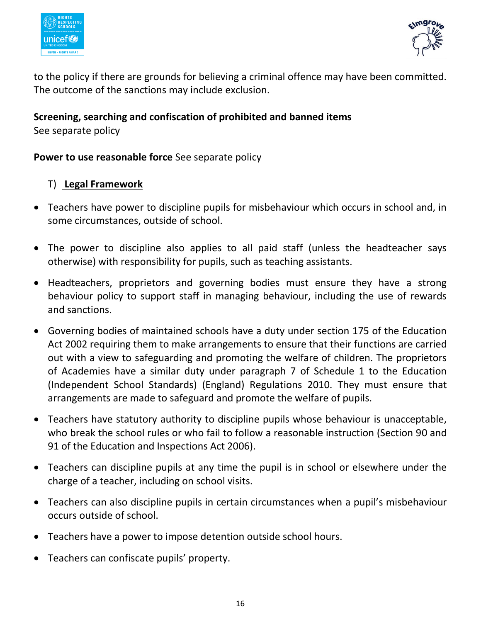



to the policy if there are grounds for believing a criminal offence may have been committed. The outcome of the sanctions may include exclusion.

# **Screening, searching and confiscation of prohibited and banned items**

See separate policy

#### **Power to use reasonable force** See separate policy

#### T) **Legal Framework**

- Teachers have power to discipline pupils for misbehaviour which occurs in school and, in some circumstances, outside of school.
- The power to discipline also applies to all paid staff (unless the headteacher says otherwise) with responsibility for pupils, such as teaching assistants.
- Headteachers, proprietors and governing bodies must ensure they have a strong behaviour policy to support staff in managing behaviour, including the use of rewards and sanctions.
- Governing bodies of maintained schools have a duty under section 175 of the Education Act 2002 requiring them to make arrangements to ensure that their functions are carried out with a view to safeguarding and promoting the welfare of children. The proprietors of Academies have a similar duty under paragraph 7 of Schedule 1 to the Education (Independent School Standards) (England) Regulations 2010. They must ensure that arrangements are made to safeguard and promote the welfare of pupils.
- Teachers have statutory authority to discipline pupils whose behaviour is unacceptable, who break the school rules or who fail to follow a reasonable instruction (Section 90 and 91 of the Education and Inspections Act 2006).
- Teachers can discipline pupils at any time the pupil is in school or elsewhere under the charge of a teacher, including on school visits.
- Teachers can also discipline pupils in certain circumstances when a pupil's misbehaviour occurs outside of school.
- Teachers have a power to impose detention outside school hours.
- Teachers can confiscate pupils' property.